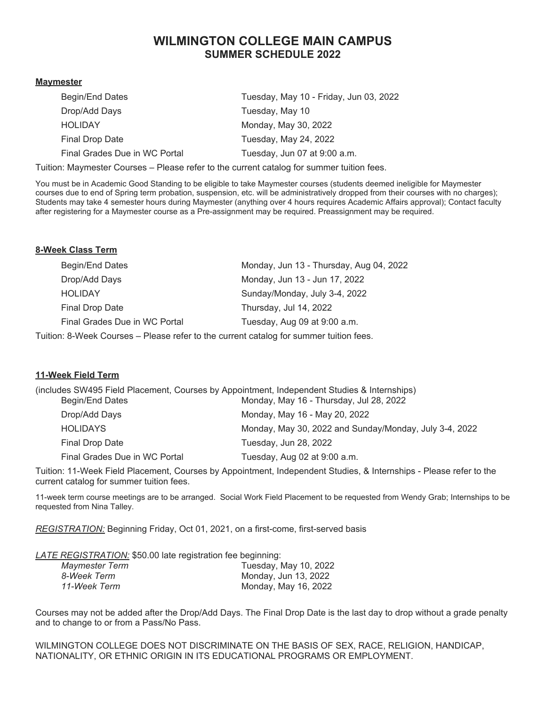# **WILMINGTON COLLEGE MAIN CAMPUS SUMMER SCHEDULE 2022**

#### **Maymester**

| Begin/End Dates               | Tuesday, May 10 - Friday, Jun 03, 2022 |
|-------------------------------|----------------------------------------|
| Drop/Add Days                 | Tuesday, May 10                        |
| <b>HOLIDAY</b>                | Monday, May 30, 2022                   |
| Final Drop Date               | Tuesday, May 24, 2022                  |
| Final Grades Due in WC Portal | Tuesday, Jun 07 at 9:00 a.m.           |
|                               |                                        |

Tuition: Maymester Courses – Please refer to the current catalog for summer tuition fees.

You must be in Academic Good Standing to be eligible to take Maymester courses (students deemed ineligible for Maymester courses due to end of Spring term probation, suspension, etc. will be administratively dropped from their courses with no charges); Students may take 4 semester hours during Maymester (anything over 4 hours requires Academic Affairs approval); Contact faculty after registering for a Maymester course as a Pre-assignment may be required. Preassignment may be required.

#### **8-Week Class Term**

| Begin/End Dates                | Monday, Jun 13 - Thursday, Aug 04, 2022                     |
|--------------------------------|-------------------------------------------------------------|
| Drop/Add Days                  | Monday, Jun 13 - Jun 17, 2022                               |
| <b>HOLIDAY</b>                 | Sunday/Monday, July 3-4, 2022                               |
| Final Drop Date                | Thursday, Jul 14, 2022                                      |
| Final Grades Due in WC Portal  | Tuesday, Aug 09 at 9:00 a.m.                                |
| $S_{\rm orb}$ . O Maak Courage | Dlogge refer to the ourrent estales for summer tuitien fees |

Tuition: 8-Week Courses – Please refer to the current catalog for summer tuition fees.

#### **11-Week Field Term**

|                               | (includes SW495 Field Placement, Courses by Appointment, Independent Studies & Internships) |
|-------------------------------|---------------------------------------------------------------------------------------------|
| Begin/End Dates               | Monday, May 16 - Thursday, Jul 28, 2022                                                     |
| Drop/Add Days                 | Monday, May 16 - May 20, 2022                                                               |
| <b>HOLIDAYS</b>               | Monday, May 30, 2022 and Sunday/Monday, July 3-4, 2022                                      |
| Final Drop Date               | Tuesday, Jun 28, 2022                                                                       |
| Final Grades Due in WC Portal | Tuesday, Aug 02 at 9:00 a.m.                                                                |

Tuition: 11-Week Field Placement, Courses by Appointment, Independent Studies, & Internships - Please refer to the current catalog for summer tuition fees.

11-week term course meetings are to be arranged. Social Work Field Placement to be requested from Wendy Grab; Internships to be requested from Nina Talley.

*REGISTRATION:* Beginning Friday, Oct 01, 2021, on a first-come, first-served basis

*LATE REGISTRATION:* \$50.00 late registration fee beginning:

| Maymester Term | Tuesday, May 10, 2022 |
|----------------|-----------------------|
| 8-Week Term    | Monday, Jun 13, 2022  |
| 11-Week Term   | Monday, May 16, 2022  |
|                |                       |

Courses may not be added after the Drop/Add Days. The Final Drop Date is the last day to drop without a grade penalty and to change to or from a Pass/No Pass.

WILMINGTON COLLEGE DOES NOT DISCRIMINATE ON THE BASIS OF SEX, RACE, RELIGION, HANDICAP, NATIONALITY, OR ETHNIC ORIGIN IN ITS EDUCATIONAL PROGRAMS OR EMPLOYMENT.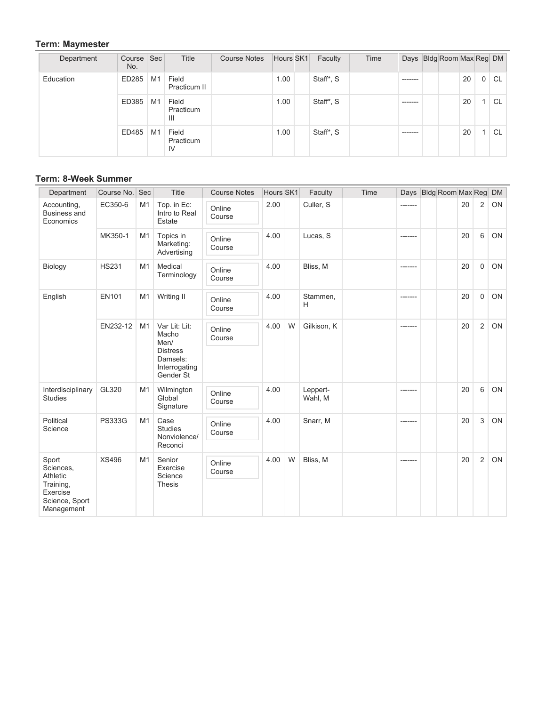### **Term: Maymester**

| Department | Course   Sec<br>No. |                | Title                    | <b>Course Notes</b> | Hours SK1 | Faculty   | Time |          | Days Bldg Room Max Reg DM |    |                |           |
|------------|---------------------|----------------|--------------------------|---------------------|-----------|-----------|------|----------|---------------------------|----|----------------|-----------|
| Education  | ED285               | M1             | Field<br>Practicum II    |                     | 1.00      | Staff*, S |      | -------- |                           | 20 | 0 <sup>1</sup> | CL        |
|            | ED385               | M1             | Field<br>Practicum<br>Ш  |                     | 1.00      | Staff*, S |      | -------- |                           | 20 |                | <b>CL</b> |
|            | ED485               | M <sub>1</sub> | Field<br>Practicum<br>IV |                     | 1.00      | Staff*, S |      | -------- |                           | 20 |                | <b>CL</b> |

## **Term: 8-Week Summer**

| Department                                                                              | Course No. Sec |                | Title                                                                                       | <b>Course Notes</b> | Hours SK1 |   | Faculty             | Time |          | Days Bldg Room Max Reg |    |             | <b>DM</b> |
|-----------------------------------------------------------------------------------------|----------------|----------------|---------------------------------------------------------------------------------------------|---------------------|-----------|---|---------------------|------|----------|------------------------|----|-------------|-----------|
| Accounting,<br>Business and<br>Economics                                                | EC350-6        | M1             | Top. in Ec:<br>Intro to Real<br>Estate                                                      | Online<br>Course    | 2.00      |   | Culler, S           |      |          |                        | 20 | 2           | <b>ON</b> |
|                                                                                         | MK350-1        | M1             | Topics in<br>Marketing:<br>Advertising                                                      | Online<br>Course    | 4.00      |   | Lucas, S            |      | -------- |                        | 20 | 6           | ON        |
| Biology                                                                                 | <b>HS231</b>   | M1             | Medical<br>Terminology                                                                      | Online<br>Course    | 4.00      |   | Bliss, M            |      |          |                        | 20 | $\Omega$    | ON        |
| English                                                                                 | <b>EN101</b>   | M <sub>1</sub> | Writing II                                                                                  | Online<br>Course    | 4.00      |   | Stammen,<br>H       |      | -------  |                        | 20 | $\mathbf 0$ | ON        |
|                                                                                         | EN232-12       | M1             | Var Lit: Lit:<br>Macho<br>Men/<br><b>Distress</b><br>Damsels:<br>Interrogating<br>Gender St | Online<br>Course    | 4.00      | W | Gilkison, K         |      | -------  |                        | 20 | 2           | <b>ON</b> |
| Interdisciplinary<br>Studies                                                            | GL320          | M1             | Wilmington<br>Global<br>Signature                                                           | Online<br>Course    | 4.00      |   | Leppert-<br>Wahl, M |      | -------- |                        | 20 | 6           | ON        |
| Political<br>Science                                                                    | <b>PS333G</b>  | M1             | Case<br><b>Studies</b><br>Nonviolence/<br>Reconci                                           | Online<br>Course    | 4.00      |   | Snarr, M            |      | -------- |                        | 20 | 3           | ON        |
| Sport<br>Sciences,<br>Athletic<br>Training,<br>Exercise<br>Science, Sport<br>Management | <b>XS496</b>   | M1             | Senior<br>Exercise<br>Science<br><b>Thesis</b>                                              | Online<br>Course    | 4.00      | W | Bliss, M            |      | -------- |                        | 20 | 2           | ON        |